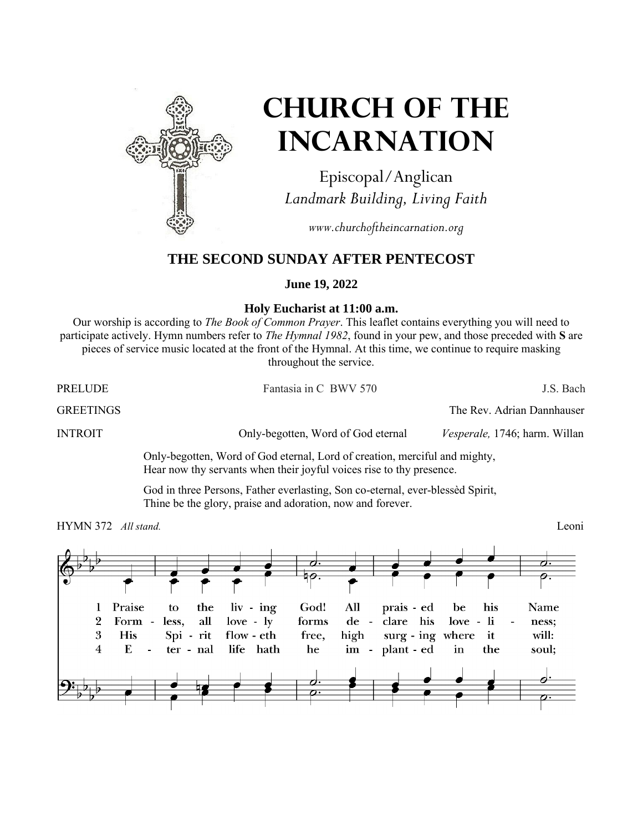

# **CHURCH OF THE INCARNATION**

Episcopal/Anglican *Landmark Building, Living Faith*

*www.churchoftheincarnation.org*

# **THE SECOND SUNDAY AFTER PENTECOST**

**June 19, 2022**

#### **Holy Eucharist at 11:00 a.m.**

Our worship is according to *The Book of Common Prayer*. This leaflet contains everything you will need to participate actively. Hymn numbers refer to *The Hymnal 1982*, found in your pew, and those preceded with **S** are pieces of service music located at the front of the Hymnal. At this time, we continue to require masking throughout the service.

| PRELUDE          | Fantasia in C BWV 570              | J.S. Bach                            |
|------------------|------------------------------------|--------------------------------------|
| <b>GREETINGS</b> |                                    | The Rev. Adrian Dannhauser           |
| <b>INTROIT</b>   | Only-begotten, Word of God eternal | <i>Vesperale,</i> 1746; harm. Willan |
|                  |                                    |                                      |

 Only-begotten, Word of God eternal, Lord of creation, merciful and mighty, Hear now thy servants when their joyful voices rise to thy presence.

 God in three Persons, Father everlasting, Son co-eternal, ever-blessèd Spirit, Thine be the glory, praise and adoration, now and forever.

HYMN 372 *All stand.* Leoni

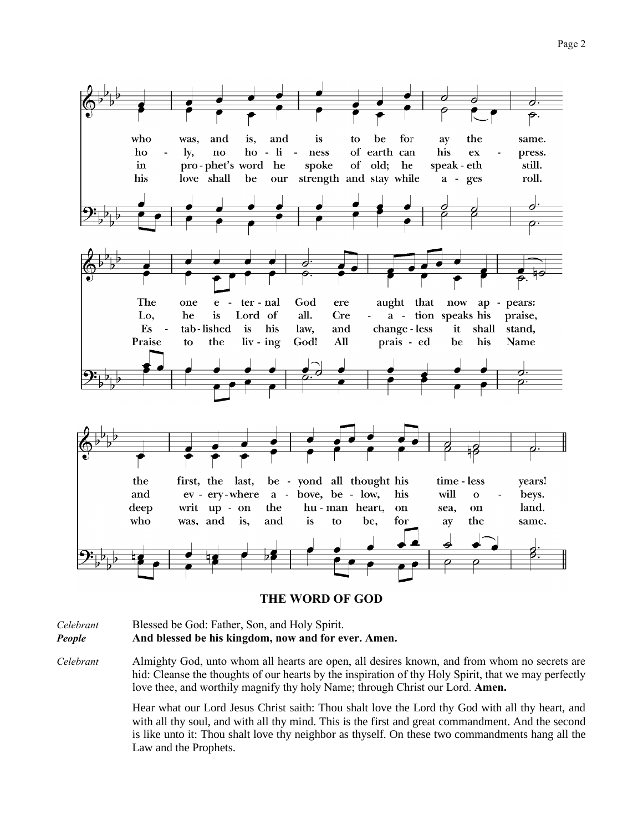

#### **THE WORD OF GOD**

*Celebrant* Blessed be God: Father, Son, and Holy Spirit. *People* **And blessed be his kingdom, now and for ever. Amen.**

*Celebrant* Almighty God, unto whom all hearts are open, all desires known, and from whom no secrets are hid: Cleanse the thoughts of our hearts by the inspiration of thy Holy Spirit, that we may perfectly love thee, and worthily magnify thy holy Name; through Christ our Lord. **Amen.**

> Hear what our Lord Jesus Christ saith: Thou shalt love the Lord thy God with all thy heart, and with all thy soul, and with all thy mind. This is the first and great commandment. And the second is like unto it: Thou shalt love thy neighbor as thyself. On these two commandments hang all the Law and the Prophets.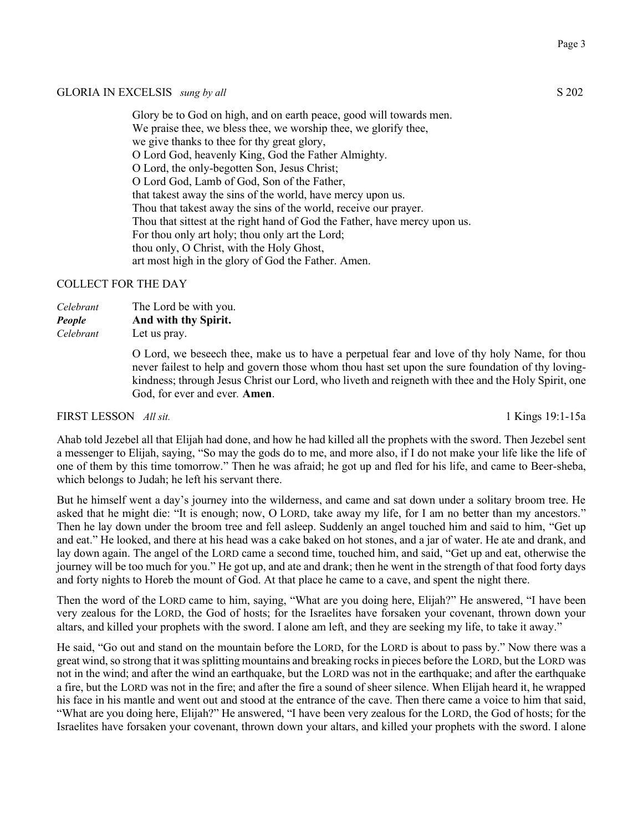### GLORIA IN EXCELSIS *sung by all* S 202

Glory be to God on high, and on earth peace, good will towards men. We praise thee, we bless thee, we worship thee, we glorify thee, we give thanks to thee for thy great glory, O Lord God, heavenly King, God the Father Almighty. O Lord, the only-begotten Son, Jesus Christ; O Lord God, Lamb of God, Son of the Father, that takest away the sins of the world, have mercy upon us. Thou that takest away the sins of the world, receive our prayer. Thou that sittest at the right hand of God the Father, have mercy upon us. For thou only art holy; thou only art the Lord; thou only, O Christ, with the Holy Ghost, art most high in the glory of God the Father. Amen.

#### COLLECT FOR THE DAY

| Celebrant     | The Lord be with you. |
|---------------|-----------------------|
| <b>People</b> | And with thy Spirit.  |
| Celebrant     | Let us pray.          |

which belongs to Judah; he left his servant there.

O Lord, we beseech thee, make us to have a perpetual fear and love of thy holy Name, for thou never failest to help and govern those whom thou hast set upon the sure foundation of thy lovingkindness; through Jesus Christ our Lord, who liveth and reigneth with thee and the Holy Spirit, one God, for ever and ever*.* **Amen**.

#### FIRST LESSON *All sit.* 1 Kings 19:1-15a

Ahab told Jezebel all that Elijah had done, and how he had killed all the prophets with the sword. Then Jezebel sent a messenger to Elijah, saying, "So may the gods do to me, and more also, if I do not make your life like the life of one of them by this time tomorrow." Then he was afraid; he got up and fled for his life, and came to Beer-sheba,

But he himself went a day's journey into the wilderness, and came and sat down under a solitary broom tree. He asked that he might die: "It is enough; now, O LORD, take away my life, for I am no better than my ancestors." Then he lay down under the broom tree and fell asleep. Suddenly an angel touched him and said to him, "Get up and eat." He looked, and there at his head was a cake baked on hot stones, and a jar of water. He ate and drank, and lay down again. The angel of the LORD came a second time, touched him, and said, "Get up and eat, otherwise the journey will be too much for you." He got up, and ate and drank; then he went in the strength of that food forty days and forty nights to Horeb the mount of God. At that place he came to a cave, and spent the night there.

Then the word of the LORD came to him, saying, "What are you doing here, Elijah?" He answered, "I have been very zealous for the LORD, the God of hosts; for the Israelites have forsaken your covenant, thrown down your altars, and killed your prophets with the sword. I alone am left, and they are seeking my life, to take it away."

He said, "Go out and stand on the mountain before the LORD, for the LORD is about to pass by." Now there was a great wind, so strong that it was splitting mountains and breaking rocks in pieces before the LORD, but the LORD was not in the wind; and after the wind an earthquake, but the LORD was not in the earthquake; and after the earthquake a fire, but the LORD was not in the fire; and after the fire a sound of sheer silence. When Elijah heard it, he wrapped his face in his mantle and went out and stood at the entrance of the cave. Then there came a voice to him that said, "What are you doing here, Elijah?" He answered, "I have been very zealous for the LORD, the God of hosts; for the Israelites have forsaken your covenant, thrown down your altars, and killed your prophets with the sword. I alone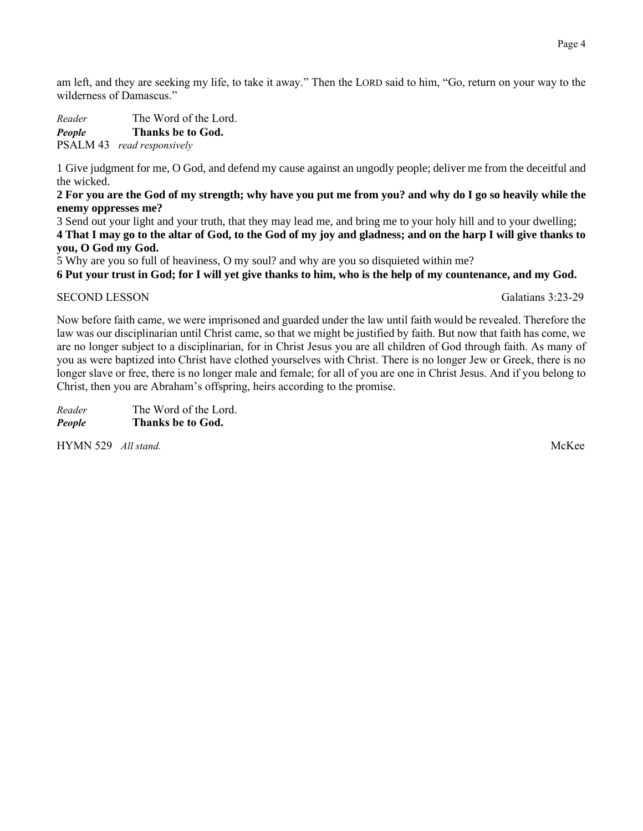am left, and they are seeking my life, to take it away." Then the LORD said to him, "Go, return on your way to the wilderness of Damascus."

*Reader* The Word of the Lord. *People* **Thanks be to God.** PSALM 43 *read responsively*

1 Give judgment for me, O God, and defend my cause against an ungodly people; deliver me from the deceitful and the wicked.

**2 For you are the God of my strength; why have you put me from you? and why do I go so heavily while the enemy oppresses me?**

3 Send out your light and your truth, that they may lead me, and bring me to your holy hill and to your dwelling; **4 That I may go to the altar of God, to the God of my joy and gladness; and on the harp I will give thanks to you, O God my God.**

5 Why are you so full of heaviness, O my soul? and why are you so disquieted within me?

**6 Put your trust in God; for I will yet give thanks to him, who is the help of my countenance, and my God.**

#### SECOND LESSON Galatians 3:23-29

Now before faith came, we were imprisoned and guarded under the law until faith would be revealed. Therefore the law was our disciplinarian until Christ came, so that we might be justified by faith. But now that faith has come, we are no longer subject to a disciplinarian, for in Christ Jesus you are all children of God through faith. As many of you as were baptized into Christ have clothed yourselves with Christ. There is no longer Jew or Greek, there is no longer slave or free, there is no longer male and female; for all of you are one in Christ Jesus. And if you belong to Christ, then you are Abraham's offspring, heirs according to the promise.

*Reader* The Word of the Lord. *People* **Thanks be to God.**

HYMN 529 *All stand.* McKee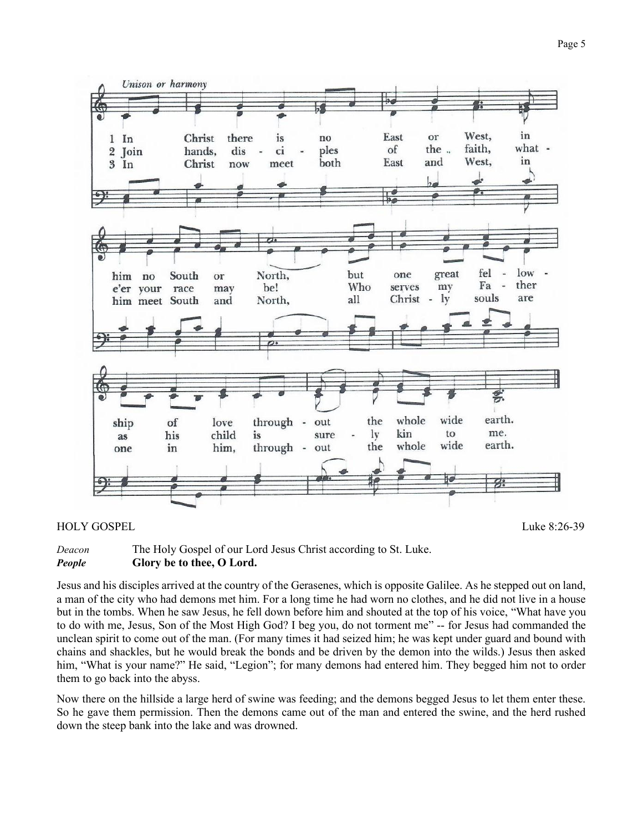

HOLY GOSPEL Luke 8:26-39

*Deacon* The Holy Gospel of our Lord Jesus Christ according to St. Luke. *People* **Glory be to thee, O Lord.**

Jesus and his disciples arrived at the country of the Gerasenes, which is opposite Galilee. As he stepped out on land, a man of the city who had demons met him. For a long time he had worn no clothes, and he did not live in a house but in the tombs. When he saw Jesus, he fell down before him and shouted at the top of his voice, "What have you to do with me, Jesus, Son of the Most High God? I beg you, do not torment me" -- for Jesus had commanded the unclean spirit to come out of the man. (For many times it had seized him; he was kept under guard and bound with chains and shackles, but he would break the bonds and be driven by the demon into the wilds.) Jesus then asked him, "What is your name?" He said, "Legion"; for many demons had entered him. They begged him not to order them to go back into the abyss.

Now there on the hillside a large herd of swine was feeding; and the demons begged Jesus to let them enter these. So he gave them permission. Then the demons came out of the man and entered the swine, and the herd rushed down the steep bank into the lake and was drowned.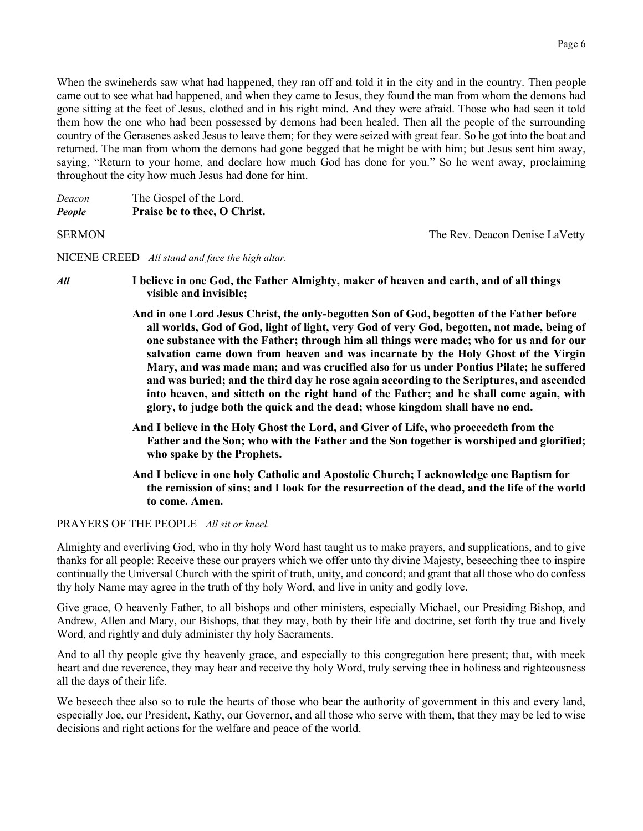When the swineherds saw what had happened, they ran off and told it in the city and in the country. Then people came out to see what had happened, and when they came to Jesus, they found the man from whom the demons had gone sitting at the feet of Jesus, clothed and in his right mind. And they were afraid. Those who had seen it told them how the one who had been possessed by demons had been healed. Then all the people of the surrounding country of the Gerasenes asked Jesus to leave them; for they were seized with great fear. So he got into the boat and returned. The man from whom the demons had gone begged that he might be with him; but Jesus sent him away, saying, "Return to your home, and declare how much God has done for you." So he went away, proclaiming throughout the city how much Jesus had done for him.

| Deacon | The Gospel of the Lord.      |
|--------|------------------------------|
| People | Praise be to thee, O Christ. |

SERMON The Rev. Deacon Denise LaVetty

#### NICENE CREED *All stand and face the high altar.*

*All* **I believe in one God, the Father Almighty, maker of heaven and earth, and of all things visible and invisible;**

- **And in one Lord Jesus Christ, the only-begotten Son of God, begotten of the Father before all worlds, God of God, light of light, very God of very God, begotten, not made, being of one substance with the Father; through him all things were made; who for us and for our salvation came down from heaven and was incarnate by the Holy Ghost of the Virgin Mary, and was made man; and was crucified also for us under Pontius Pilate; he suffered and was buried; and the third day he rose again according to the Scriptures, and ascended into heaven, and sitteth on the right hand of the Father; and he shall come again, with glory, to judge both the quick and the dead; whose kingdom shall have no end.**
- **And I believe in the Holy Ghost the Lord, and Giver of Life, who proceedeth from the Father and the Son; who with the Father and the Son together is worshiped and glorified; who spake by the Prophets.**
- **And I believe in one holy Catholic and Apostolic Church; I acknowledge one Baptism for the remission of sins; and I look for the resurrection of the dead, and the life of the world to come. Amen.**

#### PRAYERS OF THE PEOPLE *All sit or kneel.*

Almighty and everliving God, who in thy holy Word hast taught us to make prayers, and supplications, and to give thanks for all people: Receive these our prayers which we offer unto thy divine Majesty, beseeching thee to inspire continually the Universal Church with the spirit of truth, unity, and concord; and grant that all those who do confess thy holy Name may agree in the truth of thy holy Word, and live in unity and godly love.

Give grace, O heavenly Father, to all bishops and other ministers, especially Michael, our Presiding Bishop, and Andrew, Allen and Mary, our Bishops, that they may, both by their life and doctrine, set forth thy true and lively Word, and rightly and duly administer thy holy Sacraments.

And to all thy people give thy heavenly grace, and especially to this congregation here present; that, with meek heart and due reverence, they may hear and receive thy holy Word, truly serving thee in holiness and righteousness all the days of their life.

We beseech thee also so to rule the hearts of those who bear the authority of government in this and every land, especially Joe, our President, Kathy, our Governor, and all those who serve with them, that they may be led to wise decisions and right actions for the welfare and peace of the world.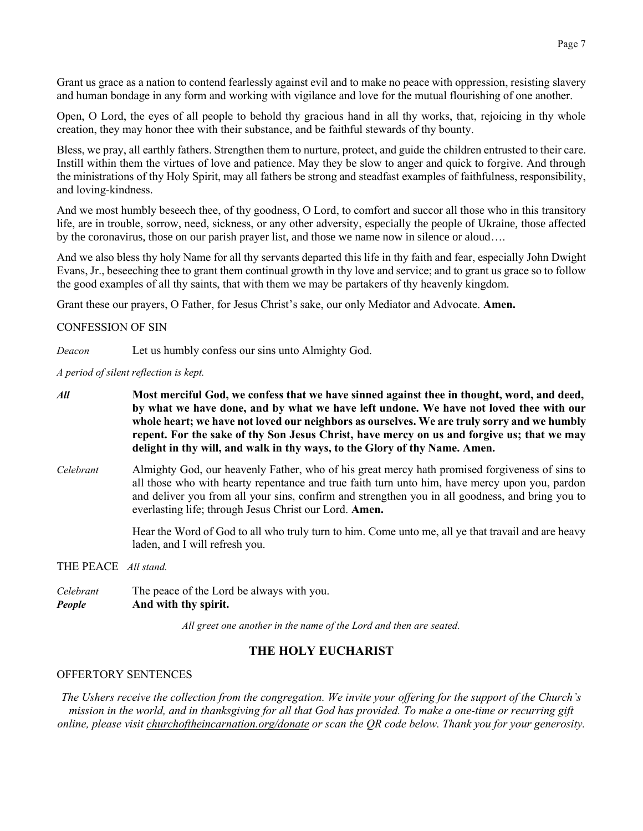Grant us grace as a nation to contend fearlessly against evil and to make no peace with oppression, resisting slavery and human bondage in any form and working with vigilance and love for the mutual flourishing of one another.

Open, O Lord, the eyes of all people to behold thy gracious hand in all thy works, that, rejoicing in thy whole creation, they may honor thee with their substance, and be faithful stewards of thy bounty.

Bless, we pray, all earthly fathers. Strengthen them to nurture, protect, and guide the children entrusted to their care. Instill within them the virtues of love and patience. May they be slow to anger and quick to forgive. And through the ministrations of thy Holy Spirit, may all fathers be strong and steadfast examples of faithfulness, responsibility, and loving-kindness.

And we most humbly beseech thee, of thy goodness, O Lord, to comfort and succor all those who in this transitory life, are in trouble, sorrow, need, sickness, or any other adversity, especially the people of Ukraine, those affected by the coronavirus, those on our parish prayer list, and those we name now in silence or aloud….

And we also bless thy holy Name for all thy servants departed this life in thy faith and fear, especially John Dwight Evans, Jr., beseeching thee to grant them continual growth in thy love and service; and to grant us grace so to follow the good examples of all thy saints, that with them we may be partakers of thy heavenly kingdom.

Grant these our prayers, O Father, for Jesus Christ's sake, our only Mediator and Advocate. **Amen.**

#### CONFESSION OF SIN

*Deacon* Let us humbly confess our sins unto Almighty God.

*A period of silent reflection is kept.*

| All                  | Most merciful God, we confess that we have sinned against thee in thought, word, and deed,<br>by what we have done, and by what we have left undone. We have not loved thee with our<br>whole heart; we have not loved our neighbors as ourselves. We are truly sorry and we humbly<br>repent. For the sake of thy Son Jesus Christ, have mercy on us and forgive us; that we may<br>delight in thy will, and walk in thy ways, to the Glory of thy Name. Amen. |
|----------------------|-----------------------------------------------------------------------------------------------------------------------------------------------------------------------------------------------------------------------------------------------------------------------------------------------------------------------------------------------------------------------------------------------------------------------------------------------------------------|
| Celebrant            | Almighty God, our heavenly Father, who of his great mercy hath promised forgiveness of sins to<br>all those who with hearty repentance and true faith turn unto him, have mercy upon you, pardon<br>and deliver you from all your sins, confirm and strengthen you in all goodness, and bring you to<br>everlasting life; through Jesus Christ our Lord. Amen.                                                                                                  |
|                      | Hear the Word of God to all who truly turn to him. Come unto me, all ye that travail and are heavy<br>laden, and I will refresh you.                                                                                                                                                                                                                                                                                                                            |
| THE PEACE All stand. |                                                                                                                                                                                                                                                                                                                                                                                                                                                                 |

*Celebrant* The peace of the Lord be always with you. *People* **And with thy spirit.**

*All greet one another in the name of the Lord and then are seated.*

## **THE HOLY EUCHARIST**

#### OFFERTORY SENTENCES

*The Ushers receive the collection from the congregation. We invite your offering for the support of the Church's mission in the world, and in thanksgiving for all that God has provided. To make a one-time or recurring gift online, please visit [churchoftheincarnation.org/](http://www.churchoftheincarnation.org/)donate or scan the QR code below. Thank you for your generosity.*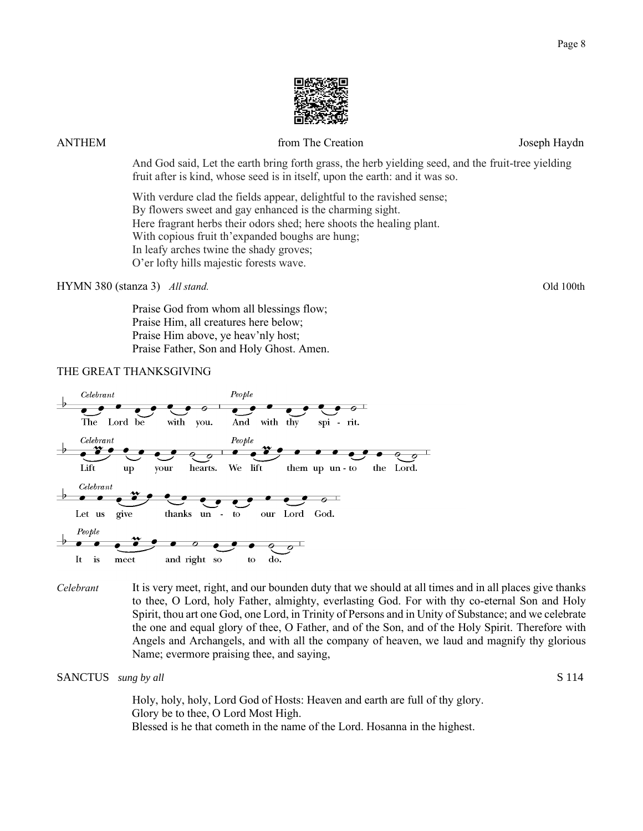

#### ANTHEM **from The Creation** Joseph Haydn

And God said, Let the earth bring forth grass, the herb yielding seed, and the fruit-tree yielding fruit after is kind, whose seed is in itself, upon the earth: and it was so.

With verdure clad the fields appear, delightful to the ravished sense; By flowers sweet and gay enhanced is the charming sight. Here fragrant herbs their odors shed; here shoots the healing plant. With copious fruit th'expanded boughs are hung; In leafy arches twine the shady groves; O'er lofty hills majestic forests wave.

#### HYMN 380 (stanza 3) *All stand.* Old 100th

Praise God from whom all blessings flow; Praise Him, all creatures here below; Praise Him above, ye heav'nly host; Praise Father, Son and Holy Ghost. Amen.

#### THE GREAT THANKSGIVING



*Celebrant* It is very meet, right, and our bounden duty that we should at all times and in all places give thanks to thee, O Lord, holy Father, almighty, everlasting God. For with thy co-eternal Son and Holy Spirit, thou art one God, one Lord, in Trinity of Persons and in Unity of Substance; and we celebrate the one and equal glory of thee, O Father, and of the Son, and of the Holy Spirit. Therefore with Angels and Archangels, and with all the company of heaven, we laud and magnify thy glorious Name; evermore praising thee, and saying,

#### SANCTUS *sung by all* S 114

Holy, holy, holy, Lord God of Hosts: Heaven and earth are full of thy glory. Glory be to thee, O Lord Most High. Blessed is he that cometh in the name of the Lord. Hosanna in the highest.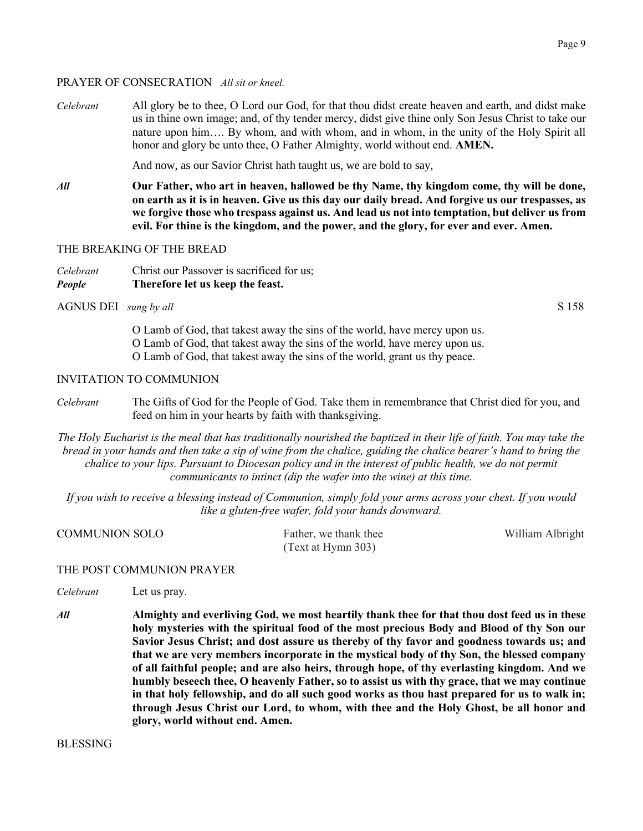#### PRAYER OF CONSECRATION *All sit or kneel.*

*Celebrant* All glory be to thee, O Lord our God, for that thou didst create heaven and earth, and didst make us in thine own image; and, of thy tender mercy, didst give thine only Son Jesus Christ to take our nature upon him…. By whom, and with whom, and in whom, in the unity of the Holy Spirit all honor and glory be unto thee, O Father Almighty, world without end. **AMEN.**

And now, as our Savior Christ hath taught us, we are bold to say,

*All* **Our Father, who art in heaven, hallowed be thy Name, thy kingdom come, thy will be done, on earth as it is in heaven. Give us this day our daily bread. And forgive us our trespasses, as we forgive those who trespass against us. And lead us not into temptation, but deliver us from evil. For thine is the kingdom, and the power, and the glory, for ever and ever. Amen.**

#### THE BREAKING OF THE BREAD

*Celebrant* Christ our Passover is sacrificed for us; *People* **Therefore let us keep the feast.** 

AGNUS DEI *sung by all* S 158

O Lamb of God, that takest away the sins of the world, have mercy upon us. O Lamb of God, that takest away the sins of the world, have mercy upon us. O Lamb of God, that takest away the sins of the world, grant us thy peace.

#### INVITATION TO COMMUNION

*Celebrant* The Gifts of God for the People of God. Take them in remembrance that Christ died for you, and feed on him in your hearts by faith with thanksgiving.

*The Holy Eucharist is the meal that has traditionally nourished the baptized in their life of faith. You may take the bread in your hands and then take a sip of wine from the chalice, guiding the chalice bearer's hand to bring the chalice to your lips. Pursuant to Diocesan policy and in the interest of public health, we do not permit communicants to intinct (dip the wafer into the wine) at this time.* 

*If you wish to receive a blessing instead of Communion, simply fold your arms across your chest. If you would like a gluten-free wafer, fold your hands downward.* 

COMMUNION SOLO Father, we thank thee William Albright (Text at Hymn 303)

#### THE POST COMMUNION PRAYER

*Celebrant* Let us pray.

*All* **Almighty and everliving God, we most heartily thank thee for that thou dost feed us in these holy mysteries with the spiritual food of the most precious Body and Blood of thy Son our Savior Jesus Christ; and dost assure us thereby of thy favor and goodness towards us; and that we are very members incorporate in the mystical body of thy Son, the blessed company of all faithful people; and are also heirs, through hope, of thy everlasting kingdom. And we humbly beseech thee, O heavenly Father, so to assist us with thy grace, that we may continue in that holy fellowship, and do all such good works as thou hast prepared for us to walk in; through Jesus Christ our Lord, to whom, with thee and the Holy Ghost, be all honor and glory, world without end. Amen.**

BLESSING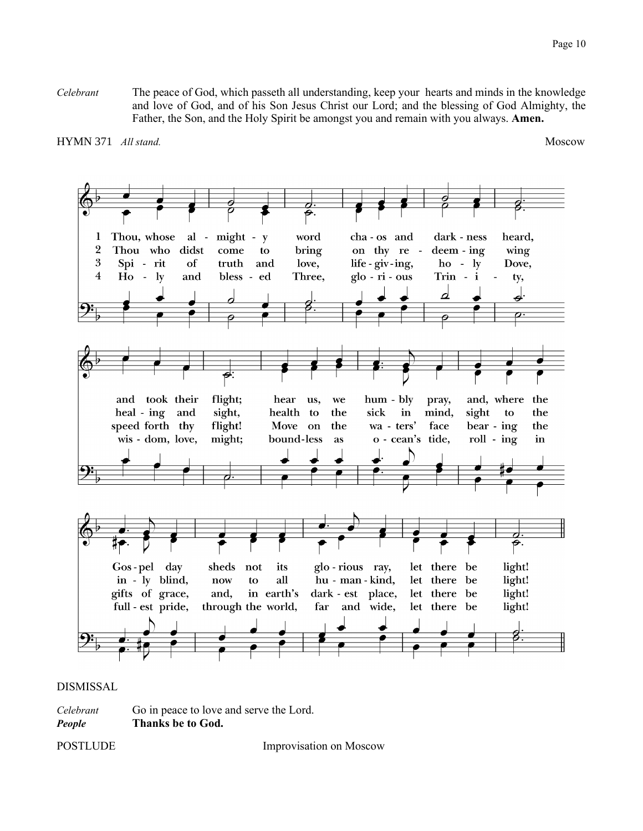*Celebrant* The peace of God, which passeth all understanding, keep your hearts and minds in the knowledge and love of God, and of his Son Jesus Christ our Lord; and the blessing of God Almighty, the Father, the Son, and the Holy Spirit be amongst you and remain with you always. **Amen.**

HYMN 371 *All stand.* Moscow



### DISMISSAL

*Celebrant* Go in peace to love and serve the Lord. *People* **Thanks be to God.** 

POSTLUDE Improvisation on Moscow